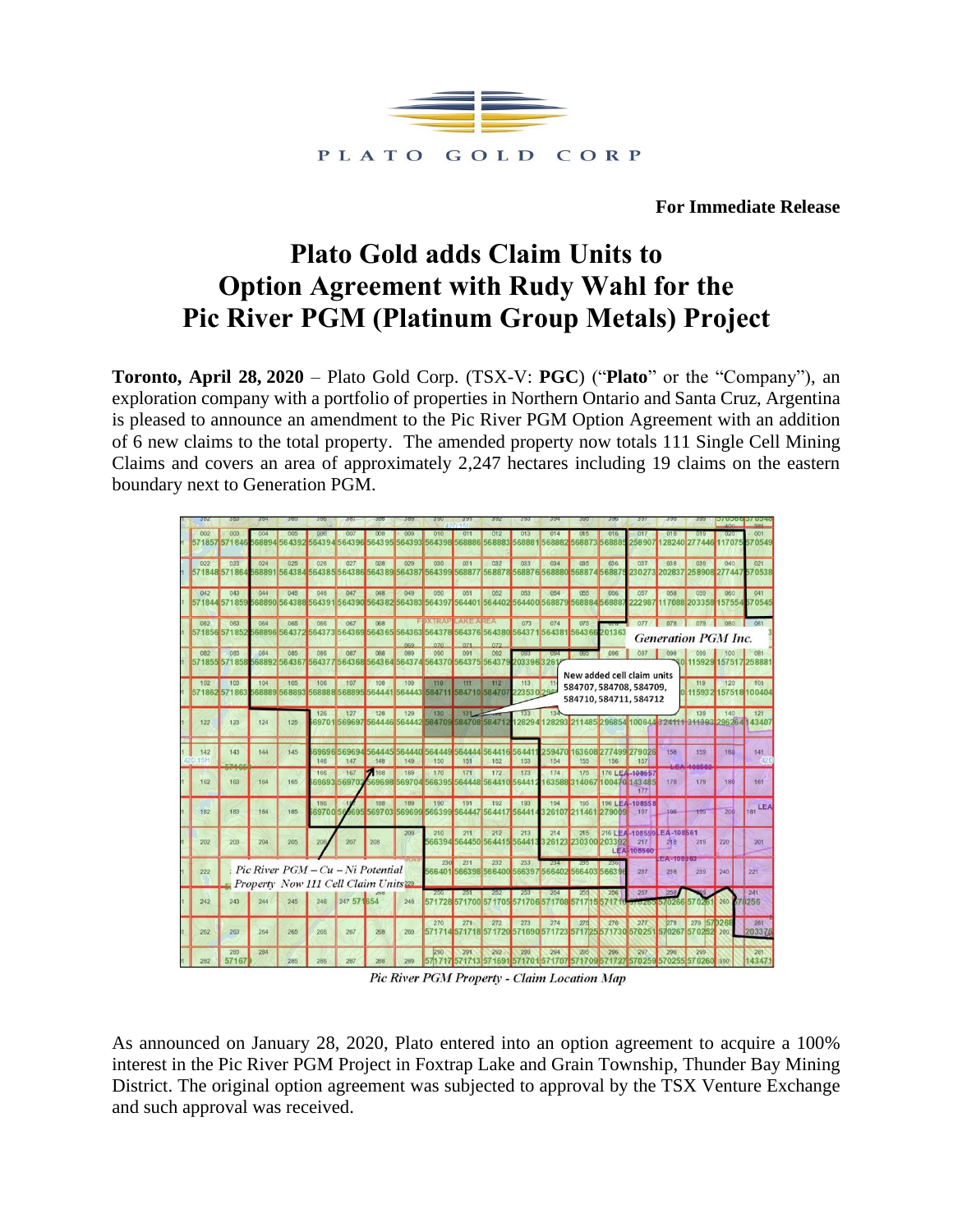

**For Immediate Release**

# **Plato Gold adds Claim Units to Option Agreement with Rudy Wahl for the Pic River PGM (Platinum Group Metals) Project**

**Toronto, April 28, 2020** – Plato Gold Corp. (TSX-V: **PGC**) ("**Plato**" or the "Company"), an exploration company with a portfolio of properties in Northern Ontario and Santa Cruz, Argentina is pleased to announce an amendment to the Pic River PGM Option Agreement with an addition of 6 new claims to the total property. The amended property now totals 111 Single Cell Mining Claims and covers an area of approximately 2,247 hectares including 19 claims on the eastern boundary next to Generation PGM.

| 002           | 003<br>571857 571846 | 004                 | 005          | 006<br>568894 564392 564394 564396               | 007                  | 008           | 009<br>564395 564393 | 010<br>564398 568886                                   | 011                  | 012<br>568883                      | 013<br>56888  | 014                  | 015<br>568882 568873 56888  | 016    | 017<br>258907               | 018              | 128240 277446         | 020<br>1707                | 001<br>570549 |
|---------------|----------------------|---------------------|--------------|--------------------------------------------------|----------------------|---------------|----------------------|--------------------------------------------------------|----------------------|------------------------------------|---------------|----------------------|-----------------------------|--------|-----------------------------|------------------|-----------------------|----------------------------|---------------|
|               |                      |                     |              |                                                  |                      |               |                      |                                                        |                      |                                    |               |                      |                             |        |                             |                  |                       |                            |               |
| 022           | 023                  | 024                 | 025          | 026                                              | 027                  | 028           | 029                  | 030                                                    | 031                  | 032                                | 033           | 034                  | 035                         | 036    | 037                         | 038              | 039                   | 040                        | 021           |
|               | 571848 571864        |                     |              | 568891 564384 564385 564386                      |                      |               | 564389 564387        | 564399                                                 | 568877               | 568878 568876 568880 568874 56887  |               |                      |                             |        | 230273                      | 202837           | 258908 277447         |                            | 570538        |
| 042           | 043                  | 044                 | 045          | 046                                              | 047                  | 048           | 049                  | 050                                                    | 051                  | 052                                | 053           | 054                  | 055                         | 056    | 057                         | 058              | 059                   | 060                        | 041           |
|               | 571844 571859        | 568890              | 564388       | 6439                                             | 564390               | 564382        | 564383               | 564397                                                 |                      | 564401 564402                      | 564400 56887  |                      | 56888456888                 |        | 22298                       |                  | 7088 203358           | 157554                     | 570545        |
| 062           | 063                  | 064                 | 065          | 066                                              | 067                  | 068           |                      | E DATE AN EARLY A NEA                                  |                      |                                    | 073           | 074                  | 075                         |        |                             |                  |                       |                            | 061           |
|               | 571856 571852        |                     |              | 568896 564372 564373 564369 5643 65 564363       |                      |               |                      | 564378                                                 |                      | 564376 564380 564371 564381 564366 |               |                      |                             | 201363 |                             |                  |                       | <b>Generation PGM Inc.</b> |               |
|               |                      |                     |              |                                                  |                      |               |                      | 070                                                    |                      |                                    |               |                      |                             |        |                             |                  |                       |                            |               |
| 082           | 083<br>571855 571858 | 084<br>568892 56436 | 085          | 086                                              | 087                  | OBB           | 089                  | 090<br>564377 564368 564364 564374 564370 564375 56437 | 091                  | 092                                | 203396326     |                      | œ                           | 096    | 097                         | 098              | 099<br>11592          | 100                        | 25888         |
|               |                      |                     |              |                                                  |                      |               |                      |                                                        |                      |                                    |               |                      |                             |        | New added cell claim units  |                  |                       |                            |               |
| 102           | 103                  | 104<br>68889        | 105<br>56889 | 106                                              | 107<br>568888 568895 | 108           | 109<br>564441 564443 | 110<br>584711                                          | 111<br>584710 584707 | 112                                | 113<br>223530 |                      |                             |        | 584707, 584708, 584709,     |                  | 119<br>115932         | 120<br>157518 100404       | 101           |
| 571862 571863 |                      |                     |              |                                                  |                      |               |                      |                                                        |                      |                                    |               |                      |                             |        | 584710, 584711, 584712      |                  |                       |                            |               |
|               |                      |                     |              | 126                                              | 127                  | 128           | 129                  | 130                                                    | 131                  |                                    | 133           |                      |                             |        |                             |                  | 139                   | 140                        | 121           |
| 122           | 123                  | 124                 | 125          |                                                  | 69701569697          |               |                      | 564446 564442 584709                                   | 584708 58471         |                                    | 2829          | 28293                |                             |        | 211485 296854 100644324111  |                  | 344393 29626          |                            | 434           |
|               |                      |                     |              |                                                  |                      |               |                      |                                                        |                      |                                    |               |                      |                             |        |                             |                  |                       |                            |               |
| 142           | 143                  | 144                 | 145          |                                                  | 6969656969           | GAAA          | GAAA0                | 564449                                                 | 564444               | 564416                             | 56441         | 25947                |                             |        | 163608 277499 279026        | 158              | 159                   | 160                        | 141           |
| 15H           |                      |                     |              | 146<br>166                                       | 147<br>167           | 148<br>168    | 149<br>169           | 150<br>170                                             | 151<br>171           | 152<br>172                         | 153<br>173    | 154<br>174           | 155<br>175                  | 156    | 157<br>176 LEA-108557       |                  |                       |                            |               |
| 162           | 163                  | 164                 | 165          |                                                  | 69693 56970          | 569698        | 56970                | 566395                                                 | 564448               | 564410                             | 56441         |                      | 63588 314067                |        | 100470 143485               | 178              | 179                   | 180                        | 161           |
|               |                      |                     |              |                                                  |                      |               |                      |                                                        |                      |                                    |               |                      |                             |        | 177                         |                  |                       |                            |               |
| 182           | 183                  | 184                 | 185          | 186<br>69700                                     |                      | 188<br>569703 | 189<br>569699        | 190<br>566399                                          | 191<br>564447        | 192<br>564417 56441                | 193           | 194<br>326107 211461 | 195                         | 279009 | 196 LEA-108558<br>197       | 198              | 199                   | 200                        | LEA<br>181    |
|               |                      |                     |              |                                                  |                      |               |                      |                                                        |                      |                                    |               |                      |                             |        |                             |                  |                       |                            |               |
|               |                      |                     |              |                                                  |                      |               | 209                  | 210                                                    | 211                  | 212                                | 213           | 214                  | 215                         |        | 216 LEA-108559 LEA-108561   |                  |                       |                            |               |
| 202           | 203                  | 204                 | 205          | <b>206</b>                                       | 207                  | 208           |                      |                                                        |                      | 66394 564450 564415 56441          |               | 326123               | 230300203392                |        | 217<br>LEA-106560           | 218              | 219                   | 220                        | 201           |
|               |                      |                     |              |                                                  |                      |               |                      | 230                                                    | 231                  | 232                                | 233           | 234                  |                             |        |                             | <b>MAGINE IS</b> |                       |                            |               |
| 222           |                      |                     |              | Pic River $PGM - Cu - Ni$ Potential              |                      |               |                      | 566401                                                 |                      | 566398 566400                      |               |                      | 566397 566402 566403 566396 |        | 237                         | 238              | 239                   | 240                        | 221           |
|               |                      |                     |              | Property Now 111 Cell Claim Units <sup>229</sup> |                      |               |                      | 250                                                    |                      |                                    |               |                      |                             | 256    | 257                         |                  |                       |                            | 241           |
| 242           | 243                  | 244                 | 245          | 246                                              | 247 57 654           |               | 249                  | 571728                                                 | 571700 57            |                                    | 1706.51       |                      |                             |        |                             |                  | 570266 570261         | 260                        | 0256          |
|               |                      |                     |              |                                                  |                      |               |                      |                                                        |                      |                                    |               |                      |                             |        |                             |                  |                       |                            |               |
| 262           | 263                  | 264                 | 265          | 266                                              | 267                  | 268           | 269                  | 270<br>571714                                          | 271                  | 272<br>571718 571720               | 273           | 274<br>571690 571723 | 275                         | 276    | 277<br>571725 571730 570251 | 278<br>570267    | 279 57 0268<br>570252 | 280                        | 261<br>203376 |
|               |                      |                     |              |                                                  |                      |               |                      |                                                        |                      |                                    |               |                      |                             |        |                             |                  |                       |                            |               |
| 282           | 283<br>57167         | 284                 | 285          | 286                                              | 287                  | 28B           | 289                  | 290<br>571717                                          | 291<br>571713        | 292<br>57169                       | 293<br>571701 | 294<br>571707        | 295<br>57170957172          | 296    | 297<br>570259               | 298<br>570255    | 299<br>570260         |                            | 281<br>143471 |
|               |                      |                     |              |                                                  |                      |               |                      |                                                        |                      |                                    |               |                      |                             |        |                             |                  |                       |                            |               |

Pic River PGM Property - Claim Location Map

As announced on January 28, 2020, Plato entered into an option agreement to acquire a 100% interest in the Pic River PGM Project in Foxtrap Lake and Grain Township, Thunder Bay Mining District. The original option agreement was subjected to approval by the TSX Venture Exchange and such approval was received.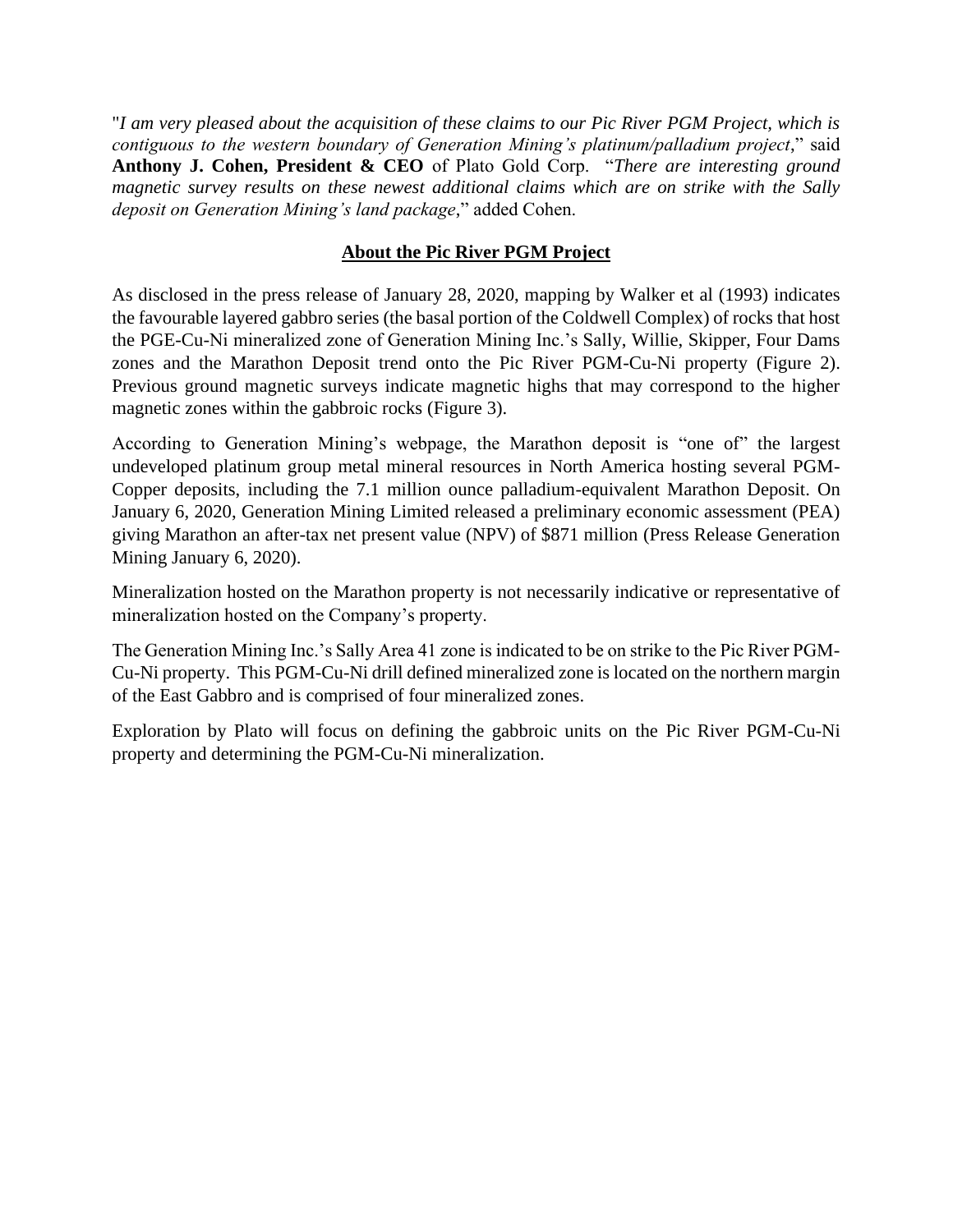"*I am very pleased about the acquisition of these claims to our Pic River PGM Project, which is contiguous to the western boundary of Generation Mining's platinum/palladium project*," said **Anthony J. Cohen, President & CEO** of Plato Gold Corp. "*There are interesting ground magnetic survey results on these newest additional claims which are on strike with the Sally deposit on Generation Mining's land package*," added Cohen.

# **About the Pic River PGM Project**

As disclosed in the press release of January 28, 2020, mapping by Walker et al (1993) indicates the favourable layered gabbro series (the basal portion of the Coldwell Complex) of rocks that host the PGE-Cu-Ni mineralized zone of Generation Mining Inc.'s Sally, Willie, Skipper, Four Dams zones and the Marathon Deposit trend onto the Pic River PGM-Cu-Ni property (Figure 2). Previous ground magnetic surveys indicate magnetic highs that may correspond to the higher magnetic zones within the gabbroic rocks (Figure 3).

According to Generation Mining's webpage, the Marathon deposit is "one of" the largest undeveloped platinum group metal mineral resources in North America hosting several PGM-Copper deposits, including the 7.1 million ounce palladium-equivalent Marathon Deposit. On January 6, 2020, Generation Mining Limited released a preliminary economic assessment (PEA) giving Marathon an after-tax net present value (NPV) of \$871 million (Press Release Generation Mining January 6, 2020).

Mineralization hosted on the Marathon property is not necessarily indicative or representative of mineralization hosted on the Company's property.

The Generation Mining Inc.'s Sally Area 41 zone is indicated to be on strike to the Pic River PGM-Cu-Ni property. This PGM-Cu-Ni drill defined mineralized zone is located on the northern margin of the East Gabbro and is comprised of four mineralized zones.

Exploration by Plato will focus on defining the gabbroic units on the Pic River PGM-Cu-Ni property and determining the PGM-Cu-Ni mineralization.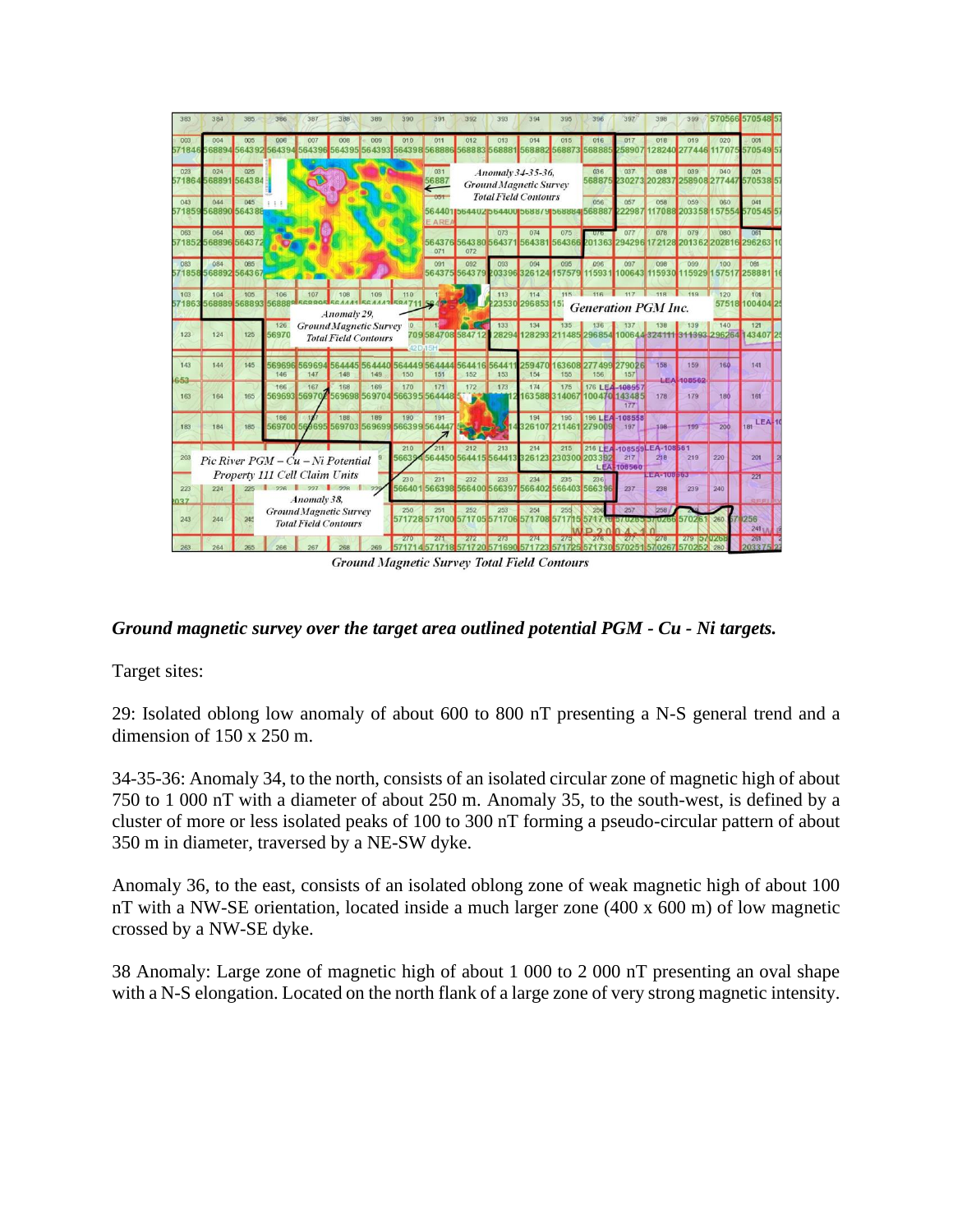| 383           | 384           | 385                                                                             | 386                  | 387                                                          | 388                | 389                                       | 390                  | 391                    | 392                 | 393           | 394                                                                     | 395               | 396                                           | 397                                    | 398                             | 399                         |                      | 570566 570548 57          |  |
|---------------|---------------|---------------------------------------------------------------------------------|----------------------|--------------------------------------------------------------|--------------------|-------------------------------------------|----------------------|------------------------|---------------------|---------------|-------------------------------------------------------------------------|-------------------|-----------------------------------------------|----------------------------------------|---------------------------------|-----------------------------|----------------------|---------------------------|--|
| 003<br>571846 | 004<br>68894  | 005                                                                             | 006<br>564392 564394 | 007<br>56439                                                 | 008<br>64395       | 009<br>564393                             | 010<br>564398        | 011<br>568886          | 012<br>568883       | 013<br>568881 | 014<br>568882                                                           | 015<br>568873     | 016<br>56888                                  | 017<br>58907                           | 018<br>128240                   | 019<br>277446 11707         | 020                  | 001<br>5705495            |  |
| 023<br>57186  | 024<br>568891 | 025<br>564384                                                                   |                      |                                                              |                    |                                           |                      | 031<br>56887           |                     |               | Anomaly 34-35-36,<br><b>Ground Magnetic Survey</b>                      |                   | 036<br>56887                                  | 037<br>230273                          | 038<br>202837                   | 039                         | 040<br>258908 27744  | 021<br>5705385            |  |
| 043           | 044           | 045<br>571859568890 564388                                                      |                      |                                                              |                    |                                           |                      | $051 -$<br><b>EARE</b> |                     |               | <b>Total Field Contours</b><br>5644011564402b64400156887915688841568887 |                   | 056                                           | 057<br>22987                           | 058                             | 059<br>117088 2033 58 15755 | 060                  | 041<br>5705455            |  |
| 063<br>571852 | 064           | 065<br>568896 564372                                                            |                      |                                                              |                    |                                           |                      | 564376<br>071          | 56438056437<br>072  | 073           | 074<br>564381                                                           | 075<br>56436      | $U/\epsilon$                                  | 077<br>201363 294296                   | 078<br>172128                   | 079<br>201362 20281         | 080                  | 061<br>296263             |  |
| 083<br>571858 | 084           | 085<br>568892 5643 67                                                           |                      |                                                              |                    |                                           |                      | 091<br>56437           | 092<br>564379       | 093           | 094<br>203396 326124                                                    | 095               | 096<br>57579 115931                           | 097                                    | 098<br>100643 115930            | 099                         | 100<br>15929 15751   | 081<br>258881             |  |
| 103<br>57186  | 104<br>56888  | 105<br>568893 56888                                                             | 106                  | 107<br><b>ECOOOE F</b>                                       | 108<br>Anomaly 29, | 109                                       | 110<br><b>594711</b> |                        |                     | 113           | 114<br>23530 296853 157                                                 | 115               | 11 <sub>R</sub><br><b>Generation PGM Inc.</b> |                                        |                                 | 119                         | 120                  | 101<br>57518 100404 25    |  |
| 123           | 124           | 125                                                                             | 126<br>56970         | <b>Ground Magnetic Survey</b>                                |                    | <b>Total Field Contours</b>               |                      | 42 D.15H               | 709584708584712     | 133<br>28294  | 134<br>128293                                                           | 135<br>2          | 1485 296854 100644                            |                                        |                                 | 139                         | 140<br>311393 296264 | 121<br>43407              |  |
| 143<br>653    | 144           | 145                                                                             | 569696<br>146        | 569694<br>147                                                | 148                | 564445 564440<br>149                      | 150                  | 564449564444<br>151    | 564416 56441<br>152 | 153           | 5947<br>154                                                             | 63608<br>155      | 277499<br>156                                 | 279026<br>157                          | 158                             | 159<br><b>LEA</b> 408562    | 160                  | 141                       |  |
| 163           | 164           | 165                                                                             | 166<br>569693        | 167<br>56970/                                                | 168                | 169<br>569698 569704 566395 564448        | 170                  | 171                    | 172<br>- 6          | 173           | 174                                                                     | 175<br>6358831406 |                                               | 176 LEA-108557<br>100470 143485<br>177 | 178                             | 179                         | 180                  | 161                       |  |
| 183           | 184           | 185                                                                             | 186<br>569700        |                                                              | 188                | 189<br>569695 569703 569699 566399 564447 | 190                  | 191                    | <b>Chat parts</b>   |               | 194                                                                     | 195               | 326107 211461 279009                          | 196 LEA-108558<br>197                  | 198                             | 199                         | 200                  | <b>LEA-10</b><br>181      |  |
| 203           |               |                                                                                 |                      | Pic River PGM – Cu – Ni Potential                            |                    |                                           | 210<br>56639         | 211                    | 212                 | 213           | 214<br>564450 564415 564413 326123 230300 203392                        | 215               |                                               | 217<br>LEA-108560                      | 216 LEA-108559LEA-108561<br>218 | 219                         | 220                  | 201                       |  |
| 223<br>037    | 224           | Property 111 Cell Claim Units<br>226<br>227<br>228<br>225<br>229<br>Anomaly 38. |                      |                                                              |                    |                                           |                      | 231                    | 232                 | 233           | 234<br>566401566398566400566397566402566403566396                       | 235               | 236                                           | 237                                    | $-4 - 100 - 65$<br>238          | 239                         | 240                  | 221                       |  |
| 243           | 244           |                                                                                 |                      | <b>Ground Magnetic Survey</b><br><b>Total Field Contours</b> |                    |                                           | 250                  | 251                    | 252                 | 253           | 254<br>571728571700 571705 571706 571708 5717                           | 255               | 256                                           | 257                                    | 258                             | 570261 260                  |                      | 256<br>241 <sub>1.0</sub> |  |
| 263           | 264           |                                                                                 |                      |                                                              |                    |                                           | 270                  |                        |                     | 273           | 274                                                                     |                   |                                               |                                        |                                 | 279 57 9252                 |                      | 261                       |  |
|               |               |                                                                                 |                      |                                                              |                    |                                           |                      |                        |                     |               | <b>Ground Magnetic Survey Total Field Contours</b>                      |                   |                                               |                                        |                                 |                             |                      |                           |  |

# *Ground magnetic survey over the target area outlined potential PGM - Cu - Ni targets.*

Target sites:

29: Isolated oblong low anomaly of about 600 to 800 nT presenting a N-S general trend and a dimension of 150 x 250 m.

34-35-36: Anomaly 34, to the north, consists of an isolated circular zone of magnetic high of about 750 to 1 000 nT with a diameter of about 250 m. Anomaly 35, to the south-west, is defined by a cluster of more or less isolated peaks of 100 to 300 nT forming a pseudo-circular pattern of about 350 m in diameter, traversed by a NE-SW dyke.

Anomaly 36, to the east, consists of an isolated oblong zone of weak magnetic high of about 100 nT with a NW-SE orientation, located inside a much larger zone (400 x 600 m) of low magnetic crossed by a NW-SE dyke.

38 Anomaly: Large zone of magnetic high of about 1 000 to 2 000 nT presenting an oval shape with a N-S elongation. Located on the north flank of a large zone of very strong magnetic intensity.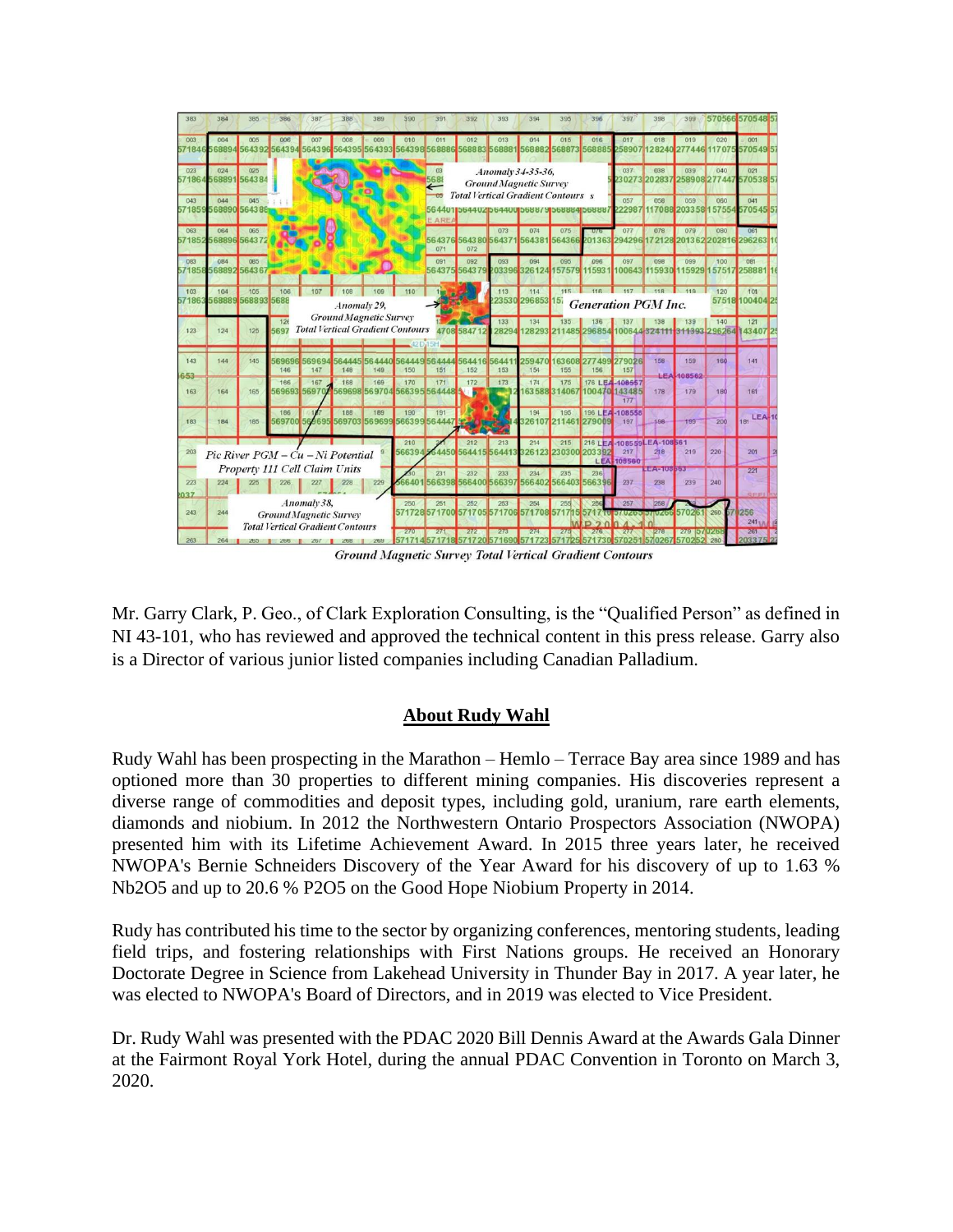

**Ground Magnetic Survey Total Vertical Gradient Contours** 

Mr. Garry Clark, P. Geo., of Clark Exploration Consulting, is the "Qualified Person" as defined in NI 43-101, who has reviewed and approved the technical content in this press release. Garry also is a Director of various junior listed companies including Canadian Palladium.

# **About Rudy Wahl**

Rudy Wahl has been prospecting in the Marathon – Hemlo – Terrace Bay area since 1989 and has optioned more than 30 properties to different mining companies. His discoveries represent a diverse range of commodities and deposit types, including gold, uranium, rare earth elements, diamonds and niobium. In 2012 the Northwestern Ontario Prospectors Association (NWOPA) presented him with its Lifetime Achievement Award. In 2015 three years later, he received NWOPA's Bernie Schneiders Discovery of the Year Award for his discovery of up to 1.63 % Nb2O5 and up to 20.6 % P2O5 on the Good Hope Niobium Property in 2014.

Rudy has contributed his time to the sector by organizing conferences, mentoring students, leading field trips, and fostering relationships with First Nations groups. He received an Honorary Doctorate Degree in Science from Lakehead University in Thunder Bay in 2017. A year later, he was elected to NWOPA's Board of Directors, and in 2019 was elected to Vice President.

Dr. Rudy Wahl was presented with the PDAC 2020 Bill Dennis Award at the Awards Gala Dinner at the Fairmont Royal York Hotel, during the annual PDAC Convention in Toronto on March 3, 2020.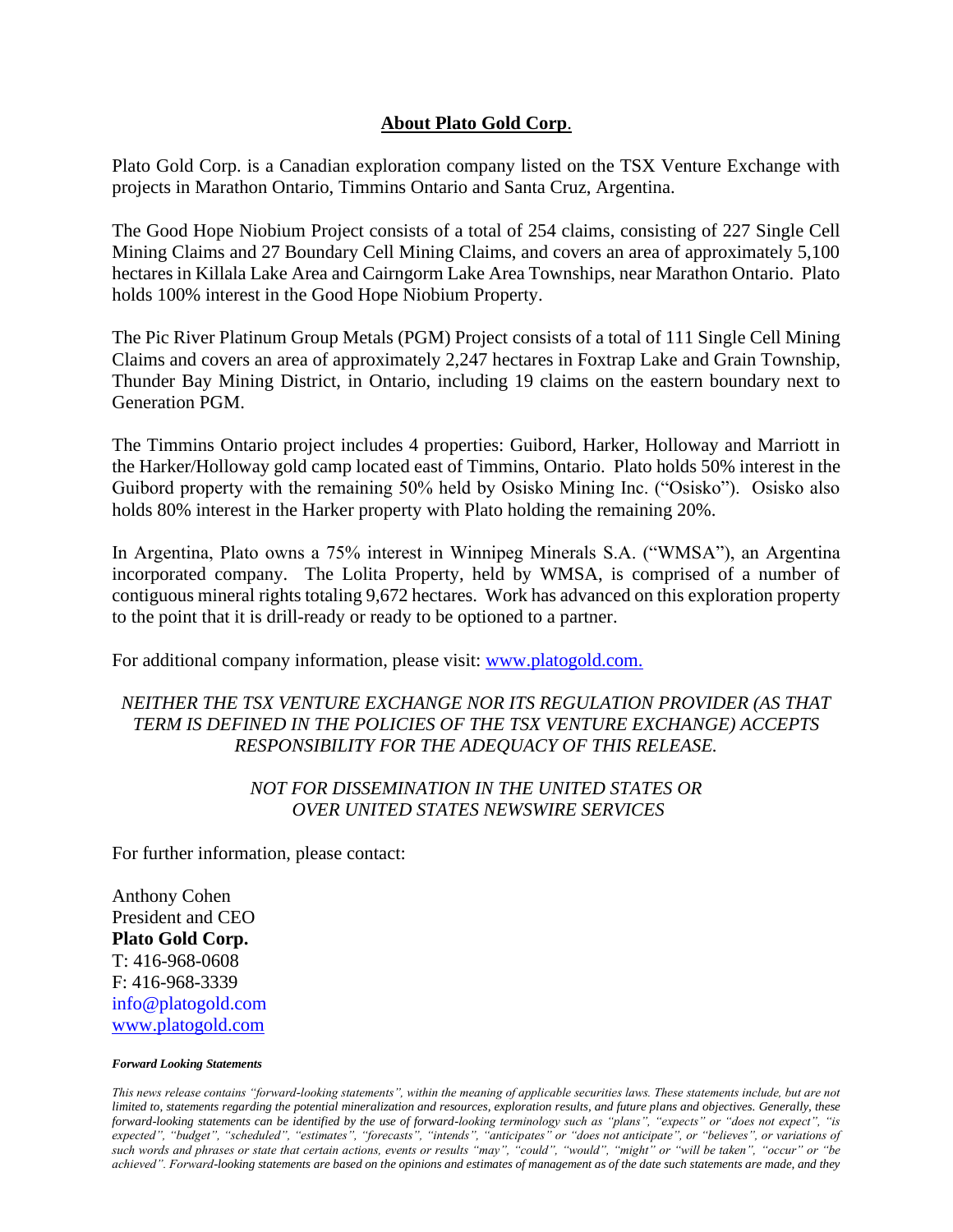#### **About Plato Gold Corp**.

Plato Gold Corp. is a Canadian exploration company listed on the TSX Venture Exchange with projects in Marathon Ontario, Timmins Ontario and Santa Cruz, Argentina.

The Good Hope Niobium Project consists of a total of 254 claims, consisting of 227 Single Cell Mining Claims and 27 Boundary Cell Mining Claims, and covers an area of approximately 5,100 hectares in Killala Lake Area and Cairngorm Lake Area Townships, near Marathon Ontario. Plato holds 100% interest in the Good Hope Niobium Property.

The Pic River Platinum Group Metals (PGM) Project consists of a total of 111 Single Cell Mining Claims and covers an area of approximately 2,247 hectares in Foxtrap Lake and Grain Township, Thunder Bay Mining District, in Ontario, including 19 claims on the eastern boundary next to Generation PGM.

The Timmins Ontario project includes 4 properties: Guibord, Harker, Holloway and Marriott in the Harker/Holloway gold camp located east of Timmins, Ontario. Plato holds 50% interest in the Guibord property with the remaining 50% held by Osisko Mining Inc. ("Osisko"). Osisko also holds 80% interest in the Harker property with Plato holding the remaining 20%.

In Argentina, Plato owns a 75% interest in Winnipeg Minerals S.A. ("WMSA"), an Argentina incorporated company. The Lolita Property, held by WMSA, is comprised of a number of contiguous mineral rights totaling 9,672 hectares. Work has advanced on this exploration property to the point that it is drill-ready or ready to be optioned to a partner.

For additional company information, please visit: [www.platogold.com.](http://www.platogold.com/)

# *NEITHER THE TSX VENTURE EXCHANGE NOR ITS REGULATION PROVIDER (AS THAT TERM IS DEFINED IN THE POLICIES OF THE TSX VENTURE EXCHANGE) ACCEPTS RESPONSIBILITY FOR THE ADEQUACY OF THIS RELEASE.*

### *NOT FOR DISSEMINATION IN THE UNITED STATES OR OVER UNITED STATES NEWSWIRE SERVICES*

For further information, please contact:

Anthony Cohen President and CEO **Plato Gold Corp.** T: 416-968-0608 F: 416-968-3339 info@platogold.com [www.platogold.com](http://www.platogold.com/)

#### *Forward Looking Statements*

*This news release contains "forward-looking statements", within the meaning of applicable securities laws. These statements include, but are not limited to, statements regarding the potential mineralization and resources, exploration results, and future plans and objectives. Generally, these forward-looking statements can be identified by the use of forward-looking terminology such as "plans", "expects" or "does not expect", "is expected", "budget", "scheduled", "estimates", "forecasts", "intends", "anticipates" or "does not anticipate", or "believes", or variations of such words and phrases or state that certain actions, events or results "may", "could", "would", "might" or "will be taken", "occur" or "be achieved". Forward-looking statements are based on the opinions and estimates of management as of the date such statements are made, and they*